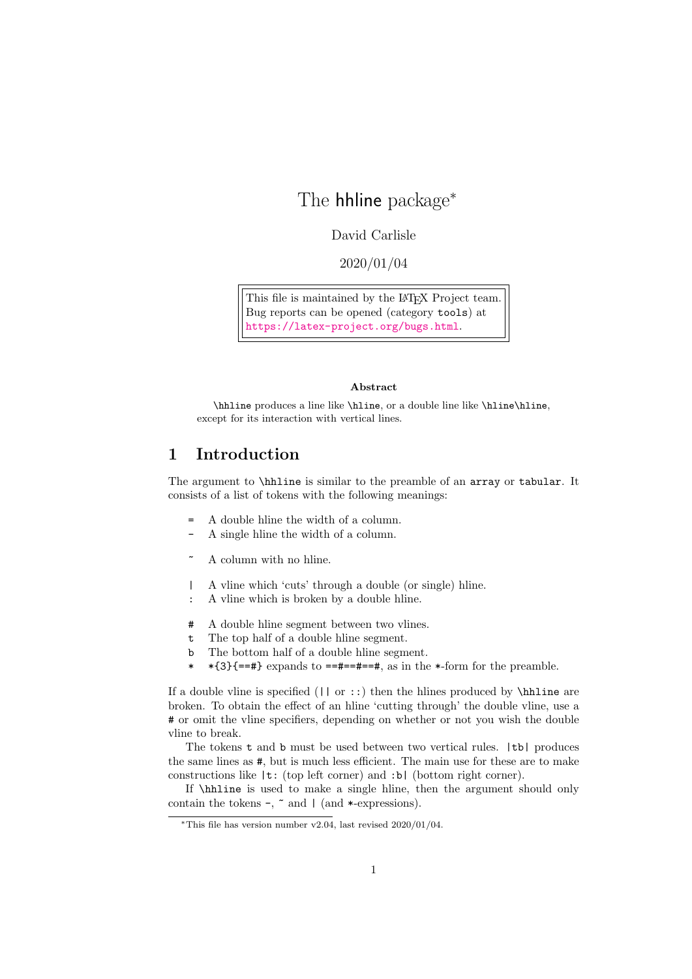## The **hhline** package<sup>\*</sup>

David Carlisle

2020/01/04

This file is maintained by the L<sup>AT</sup>EX Project team. Bug reports can be opened (category tools) at <https://latex-project.org/bugs.html>.

## Abstract

\hhline produces a line like \hline, or a double line like \hline\hline, except for its interaction with vertical lines.

## 1 Introduction

The argument to \hhline is similar to the preamble of an array or tabular. It consists of a list of tokens with the following meanings:

- A double hline the width of a column.
- A single hline the width of a column.
- A column with no hline.
- | A vline which 'cuts' through a double (or single) hline.
- : A vline which is broken by a double hline.
- # A double hline segment between two vlines.
- t The top half of a double hline segment.
- b The bottom half of a double hline segment.
- \*  $\ast$  {3}{==#} expands to ==#==#==#, as in the  $\ast$ -form for the preamble.

If a double vline is specified  $(| \nvert \text{ or } :: \text{)}$  then the hlines produced by \hat ine are broken. To obtain the effect of an hline 'cutting through' the double vline, use a # or omit the vline specifiers, depending on whether or not you wish the double vline to break.

The tokens t and b must be used between two vertical rules. |tb| produces the same lines as #, but is much less efficient. The main use for these are to make constructions like |t: (top left corner) and :b| (bottom right corner).

If \hhline is used to make a single hline, then the argument should only contain the tokens  $\neg$ ,  $\tilde{\neg}$  and  $\nparallel$  (and  $\ast$ -expressions).

<sup>∗</sup>This file has version number v2.04, last revised 2020/01/04.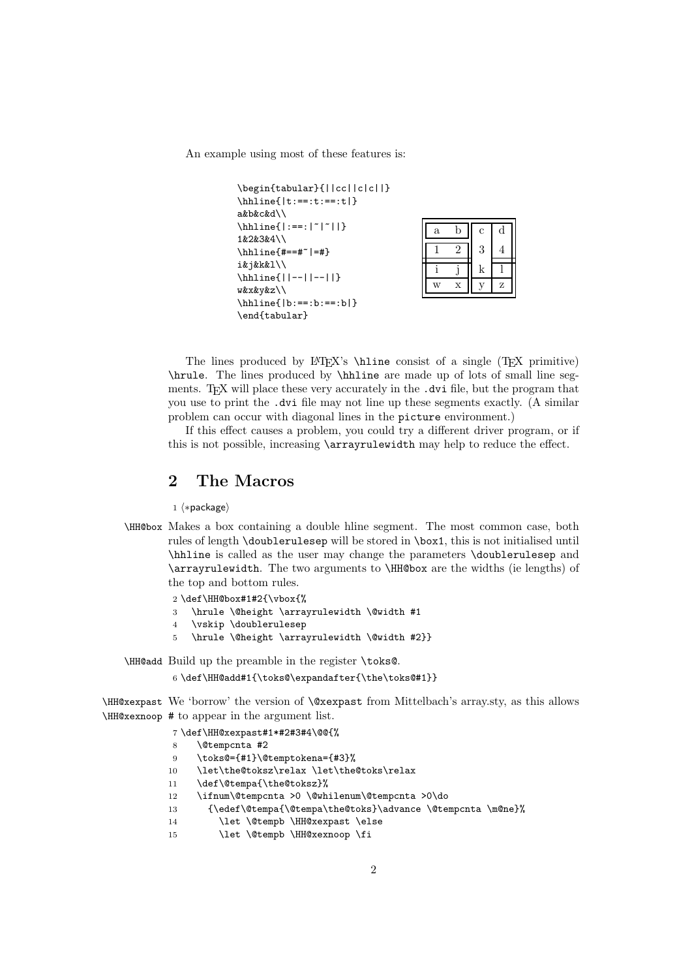An example using most of these features is:

```
\begin{tabular}{||cc||c|c||}
\hhline{|t:==:t:==:t|}
a&b&c&d\\
\hbox{hhline}: ==:|~|~||}
1&2&3&4\\
\hbarline{#==#~|=#}
i&j&k&l\\
\hhline{||--||--||}
w&x&y&z\\
\hhline{|b:==:b:==:b|}
\end{tabular}
```

| $\mathbf{a}$ | h | $\mathbf c$ | d |
|--------------|---|-------------|---|
|              |   | 3           | 4 |
|              |   | k           |   |
| W            | X |             | Z |

The lines produced by  $\[\Delta\Gamma\]$   $\[\Delta\$  biline consist of a single (TEX primitive) \hrule. The lines produced by \hhline are made up of lots of small line segments. T<sub>EX</sub> will place these very accurately in the .dvi file, but the program that you use to print the .dvi file may not line up these segments exactly. (A similar problem can occur with diagonal lines in the picture environment.)

If this effect causes a problem, you could try a different driver program, or if this is not possible, increasing \arrayrulewidth may help to reduce the effect.

## 2 The Macros

1 ⟨∗package⟩

```
\HH@box Makes a box containing a double hline segment. The most common case, both
        rules of length \doublerulesep will be stored in \box1, this is not initialised until
        \hhline is called as the user may change the parameters \doublerulesep and
        \arrayrulewidth. The two arguments to \HH@box are the widths (ie lengths) of
        the top and bottom rules.
```

```
2 \def\HH@box#1#2{\vbox{%
```

```
3 \hrule \@height \arrayrulewidth \@width #1
```
- 4 \vskip \doublerulesep
- 5 \hrule \@height \arrayrulewidth \@width #2}}

\HH@add Build up the preamble in the register \toks@.

```
6 \def\HH@add#1{\toks@\expandafter{\the\toks@#1}}
```
\HH@xexpast We 'borrow' the version of \@xexpast from Mittelbach's array.sty, as this allows \HH@xexnoop # to appear in the argument list.

```
7 \def\HH@xexpast#1*#2#3#4\@@{%
8 \@tempcnta #2
9 \toks@={#1}\@temptokena={#3}%
10 \let\the@toksz\relax \let\the@toks\relax
11 \def\@tempa{\the@toksz}%
12 \ifnum\@tempcnta >0 \@whilenum\@tempcnta >0\do
13 {\edef\@tempa{\@tempa\the@toks}\advance \@tempcnta \m@ne}%
14 \let \@tempb \HH@xexpast \else
15 \let \@tempb \HH@xexnoop \fi
```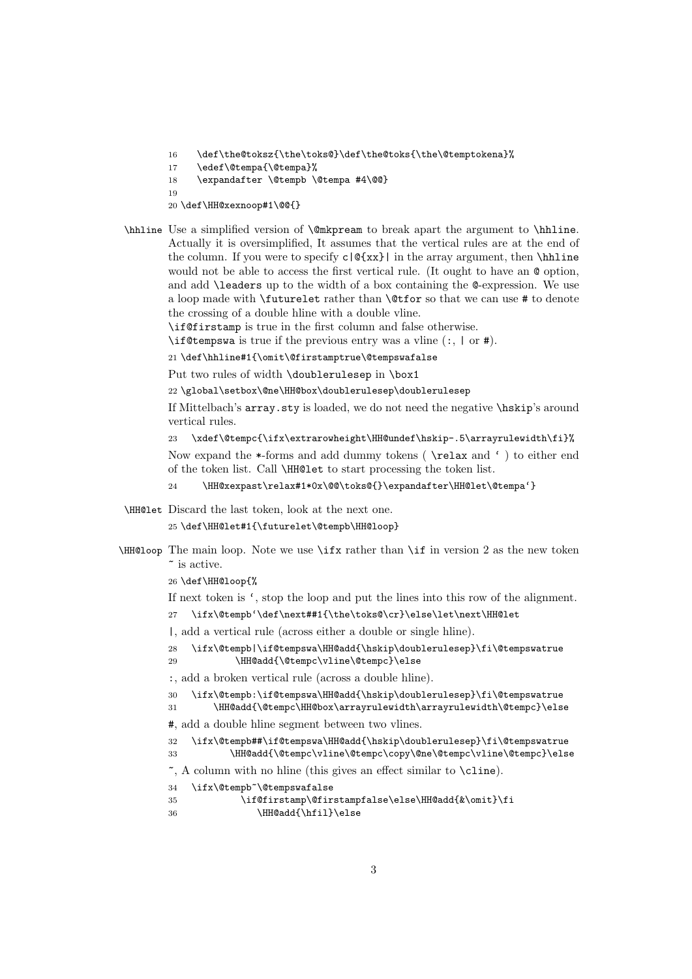- 16 \def\the@toksz{\the\toks@}\def\the@toks{\the\@temptokena}%
- 17 \edef\@tempa{\@tempa}%
- 18 \expandafter \@tempb \@tempa #4\@@}

19

- 20 \def\HH@xexnoop#1\@@{}
- \hhline Use a simplified version of \@mkpream to break apart the argument to \hhline. Actually it is oversimplified, It assumes that the vertical rules are at the end of the column. If you were to specify  $c|Q\{xx\}|$  in the array argument, then \hhline would not be able to access the first vertical rule. (It ought to have an  $\&$  option, and add \leaders up to the width of a box containing the @-expression. We use a loop made with \futurelet rather than \@tfor so that we can use # to denote the crossing of a double hline with a double vline.

\if@firstamp is true in the first column and false otherwise.

\if@tempswa is true if the previous entry was a vline (:, | or #).

21 \def\hhline#1{\omit\@firstamptrue\@tempswafalse

Put two rules of width \doublerulesep in \box1

22 \global\setbox\@ne\HH@box\doublerulesep\doublerulesep

If Mittelbach's array.sty is loaded, we do not need the negative \hskip's around vertical rules.

```
23 \xdef\@tempc{\ifx\extrarowheight\HH@undef\hskip-.5\arrayrulewidth\fi}%
```
Now expand the \*-forms and add dummy tokens ( \relax and ' ) to either end of the token list. Call \HH@let to start processing the token list.

- 24 \HH@xexpast\relax#1\*0x\@@\toks@{}\expandafter\HH@let\@tempa'}
- \HH@let Discard the last token, look at the next one.

```
25 \def\HH@let#1{\futurelet\@tempb\HH@loop}
```
\HH@loop The main loop. Note we use \ifx rather than \if in version 2 as the new token ~ is active.

26 \def\HH@loop{%

If next token is ', stop the loop and put the lines into this row of the alignment.

27 \ifx\@tempb'\def\next##1{\the\toks@\cr}\else\let\next\HH@let

|, add a vertical rule (across either a double or single hline).

28 \ifx\@tempb|\if@tempswa\HH@add{\hskip\doublerulesep}\fi\@tempswatrue

```
29 \HH@add{\@tempc\vline\@tempc}\else
```
:, add a broken vertical rule (across a double hline).

```
30 \ifx\@tempb:\if@tempswa\HH@add{\hskip\doublerulesep}\fi\@tempswatrue
```
31 \HH@add{\@tempc\HH@box\arrayrulewidth\arrayrulewidth\@tempc}\else

#, add a double hline segment between two vlines.

32 \ifx\@tempb##\if@tempswa\HH@add{\hskip\doublerulesep}\fi\@tempswatrue 33 \HH@add{\@tempc\vline\@tempc\copy\@ne\@tempc\vline\@tempc}\else

```
~, A column with no hline (this gives an effect similar to \cline).
```

```
34 \ifx\@tempb~\@tempswafalse
```

```
35 \if@firstamp\@firstampfalse\else\HH@add{&\omit}\fi
36 \HH@add{\hfil}\else
```